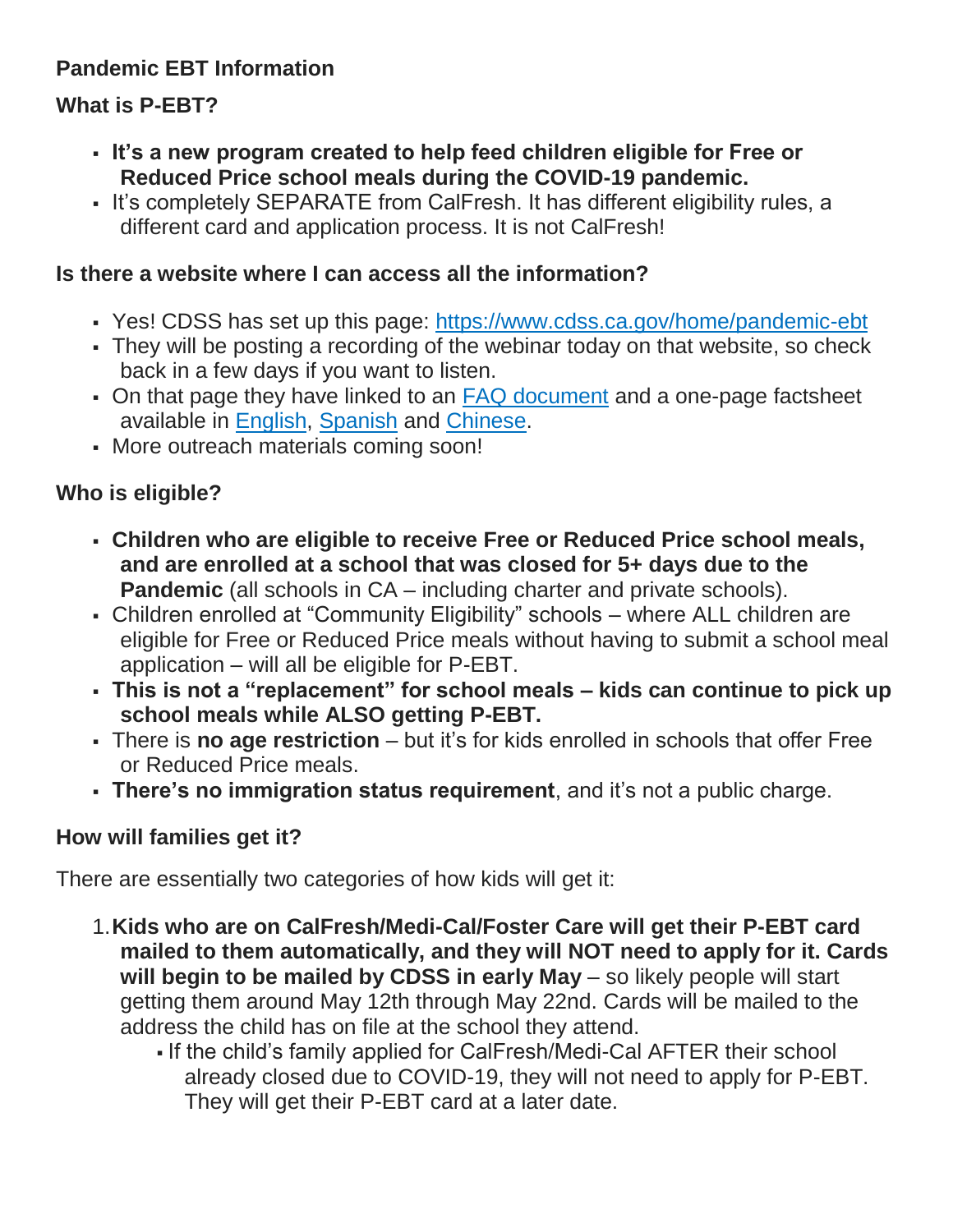## **Pandemic EBT Information**

# **What is P-EBT?**

- **It's a new program created to help feed children eligible for Free or Reduced Price school meals during the COVID-19 pandemic.**
- It's completely SEPARATE from CalFresh. It has different eligibility rules, a different card and application process. It is not CalFresh!

#### **Is there a website where I can access all the information?**

- Yes! CDSS has set up this page: <https://www.cdss.ca.gov/home/pandemic-ebt>
- They will be posting a recording of the webinar today on that website, so check back in a few days if you want to listen.
- On that page they have linked to an [FAQ document](https://www.cdss.ca.gov/Portals/9/EBT/Pandemic/Information-About-P-EBT.pdf) and a one-page factsheet available in [English,](http://www.berkeleyschools.net/wp-content/uploads/2020/05/P-EBT-Flyer-English.pdf) [Spanish](http://www.berkeleyschools.net/wp-content/uploads/2020/05/P_EBT_Flyer_Spanish.pdf) and [Chinese.](http://www.berkeleyschools.net/wp-content/uploads/2020/05/P-EBT-Flyer-Chinese.pdf)
- More outreach materials coming soon!

## **Who is eligible?**

- **Children who are eligible to receive Free or Reduced Price school meals, and are enrolled at a school that was closed for 5+ days due to the Pandemic** (all schools in CA – including charter and private schools).
- Children enrolled at "Community Eligibility" schools where ALL children are eligible for Free or Reduced Price meals without having to submit a school meal application – will all be eligible for P-EBT.
- **This is not a "replacement" for school meals – kids can continue to pick up school meals while ALSO getting P-EBT.**
- There is **no age restriction** but it's for kids enrolled in schools that offer Free or Reduced Price meals.
- **There's no immigration status requirement**, and it's not a public charge.

## **How will families get it?**

There are essentially two categories of how kids will get it:

- 1.**Kids who are on CalFresh/Medi-Cal/Foster Care will get their P-EBT card mailed to them automatically, and they will NOT need to apply for it. Cards will begin to be mailed by CDSS in early May** – so likely people will start getting them around May 12th through May 22nd. Cards will be mailed to the address the child has on file at the school they attend.
	- If the child's family applied for CalFresh/Medi-Cal AFTER their school already closed due to COVID-19, they will not need to apply for P-EBT. They will get their P-EBT card at a later date.